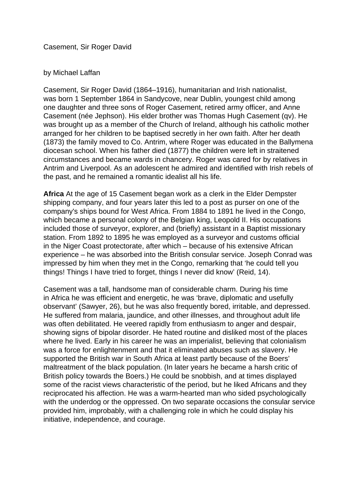Casement, Sir Roger David

## by Michael Laffan

Casement, Sir Roger David (1864–1916), humanitarian and Irish nationalist, was born 1 September 1864 in Sandycove, near Dublin, youngest child among one daughter and three sons of Roger Casement, retired army officer, and Anne Casement (née Jephson). His elder brother was Thomas Hugh Casement (qv). He was brought up as a member of the Church of Ireland, although his catholic mother arranged for her children to be baptised secretly in her own faith. After her death (1873) the family moved to Co. Antrim, where Roger was educated in the Ballymena diocesan school. When his father died (1877) the children were left in straitened circumstances and became wards in chancery. Roger was cared for by relatives in Antrim and Liverpool. As an adolescent he admired and identified with Irish rebels of the past, and he remained a romantic idealist all his life.

**Africa** At the age of 15 Casement began work as a clerk in the Elder Dempster shipping company, and four years later this led to a post as purser on one of the company's ships bound for West Africa. From 1884 to 1891 he lived in the Congo, which became a personal colony of the Belgian king, Leopold II. His occupations included those of surveyor, explorer, and (briefly) assistant in a Baptist missionary station. From 1892 to 1895 he was employed as a surveyor and customs official in the Niger Coast protectorate, after which – because of his extensive African experience – he was absorbed into the British consular service. Joseph Conrad was impressed by him when they met in the Congo, remarking that 'he could tell you things! Things I have tried to forget, things I never did know' (Reid, 14).

Casement was a tall, handsome man of considerable charm. During his time in Africa he was efficient and energetic, he was 'brave, diplomatic and usefully observant' (Sawyer, 26), but he was also frequently bored, irritable, and depressed. He suffered from malaria, jaundice, and other illnesses, and throughout adult life was often debilitated. He veered rapidly from enthusiasm to anger and despair, showing signs of bipolar disorder. He hated routine and disliked most of the places where he lived. Early in his career he was an imperialist, believing that colonialism was a force for enlightenment and that it eliminated abuses such as slavery. He supported the British war in South Africa at least partly because of the Boers' maltreatment of the black population. (In later years he became a harsh critic of British policy towards the Boers.) He could be snobbish, and at times displayed some of the racist views characteristic of the period, but he liked Africans and they reciprocated his affection. He was a warm-hearted man who sided psychologically with the underdog or the oppressed. On two separate occasions the consular service provided him, improbably, with a challenging role in which he could display his initiative, independence, and courage.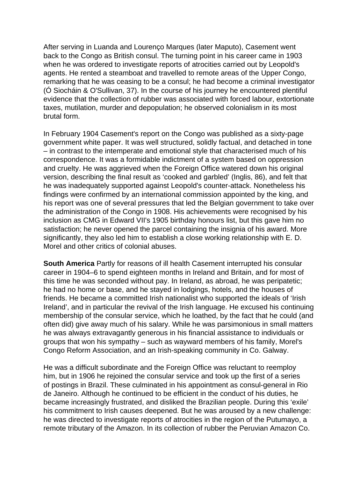After serving in Luanda and Lourenço Marques (later Maputo), Casement went back to the Congo as British consul. The turning point in his career came in 1903 when he was ordered to investigate reports of atrocities carried out by Leopold's agents. He rented a steamboat and travelled to remote areas of the Upper Congo, remarking that he was ceasing to be a consul; he had become a criminal investigator (Ó Siocháin & O'Sullivan, 37). In the course of his journey he encountered plentiful evidence that the collection of rubber was associated with forced labour, extortionate taxes, mutilation, murder and depopulation; he observed colonialism in its most brutal form.

In February 1904 Casement's report on the Congo was published as a sixty-page government white paper. It was well structured, solidly factual, and detached in tone – in contrast to the intemperate and emotional style that characterised much of his correspondence. It was a formidable indictment of a system based on oppression and cruelty. He was aggrieved when the Foreign Office watered down his original version, describing the final result as 'cooked and garbled' (Inglis, 86), and felt that he was inadequately supported against Leopold's counter-attack. Nonetheless his findings were confirmed by an international commission appointed by the king, and his report was one of several pressures that led the Belgian government to take over the administration of the Congo in 1908. His achievements were recognised by his inclusion as CMG in Edward VII's 1905 birthday honours list, but this gave him no satisfaction; he never opened the parcel containing the insignia of his award. More significantly, they also led him to establish a close working relationship with E. D. Morel and other critics of colonial abuses.

**South America** Partly for reasons of ill health Casement interrupted his consular career in 1904–6 to spend eighteen months in Ireland and Britain, and for most of this time he was seconded without pay. In Ireland, as abroad, he was peripatetic; he had no home or base, and he stayed in lodgings, hotels, and the houses of friends. He became a committed Irish nationalist who supported the ideals of 'Irish Ireland', and in particular the revival of the Irish language. He excused his continuing membership of the consular service, which he loathed, by the fact that he could (and often did) give away much of his salary. While he was parsimonious in small matters he was always extravagantly generous in his financial assistance to individuals or groups that won his sympathy – such as wayward members of his family, Morel's Congo Reform Association, and an Irish-speaking community in Co. Galway.

He was a difficult subordinate and the Foreign Office was reluctant to reemploy him, but in 1906 he rejoined the consular service and took up the first of a series of postings in Brazil. These culminated in his appointment as consul-general in Rio de Janeiro. Although he continued to be efficient in the conduct of his duties, he became increasingly frustrated, and disliked the Brazilian people. During this 'exile' his commitment to Irish causes deepened. But he was aroused by a new challenge: he was directed to investigate reports of atrocities in the region of the Putumayo, a remote tributary of the Amazon. In its collection of rubber the Peruvian Amazon Co.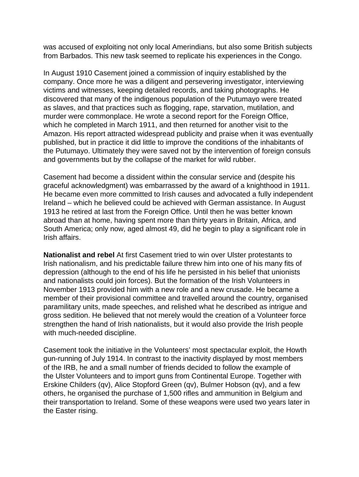was accused of exploiting not only local Amerindians, but also some British subjects from Barbados. This new task seemed to replicate his experiences in the Congo.

In August 1910 Casement joined a commission of inquiry established by the company. Once more he was a diligent and persevering investigator, interviewing victims and witnesses, keeping detailed records, and taking photographs. He discovered that many of the indigenous population of the Putumayo were treated as slaves, and that practices such as flogging, rape, starvation, mutilation, and murder were commonplace. He wrote a second report for the Foreign Office, which he completed in March 1911, and then returned for another visit to the Amazon. His report attracted widespread publicity and praise when it was eventually published, but in practice it did little to improve the conditions of the inhabitants of the Putumayo. Ultimately they were saved not by the intervention of foreign consuls and governments but by the collapse of the market for wild rubber.

Casement had become a dissident within the consular service and (despite his graceful acknowledgment) was embarrassed by the award of a knighthood in 1911. He became even more committed to Irish causes and advocated a fully independent Ireland – which he believed could be achieved with German assistance. In August 1913 he retired at last from the Foreign Office. Until then he was better known abroad than at home, having spent more than thirty years in Britain, Africa, and South America; only now, aged almost 49, did he begin to play a significant role in Irish affairs.

**Nationalist and rebel** At first Casement tried to win over Ulster protestants to Irish nationalism, and his predictable failure threw him into one of his many fits of depression (although to the end of his life he persisted in his belief that unionists and nationalists could join forces). But the formation of the Irish Volunteers in November 1913 provided him with a new role and a new crusade. He became a member of their provisional committee and travelled around the country, organised paramilitary units, made speeches, and relished what he described as intrigue and gross sedition. He believed that not merely would the creation of a Volunteer force strengthen the hand of Irish nationalists, but it would also provide the Irish people with much-needed discipline.

Casement took the initiative in the Volunteers' most spectacular exploit, the Howth gun-running of July 1914. In contrast to the inactivity displayed by most members of the IRB, he and a small number of friends decided to follow the example of the Ulster Volunteers and to import guns from Continental Europe. Together with Erskine Childers (qv), Alice Stopford Green (qv), Bulmer Hobson (qv), and a few others, he organised the purchase of 1,500 rifles and ammunition in Belgium and their transportation to Ireland. Some of these weapons were used two years later in the Easter rising.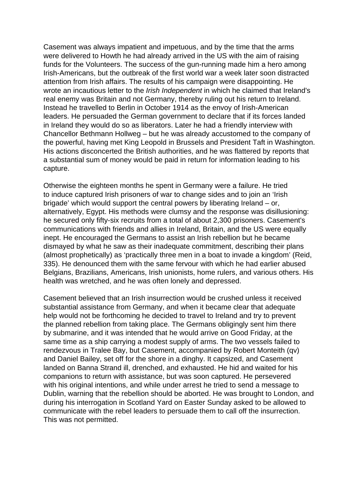Casement was always impatient and impetuous, and by the time that the arms were delivered to Howth he had already arrived in the US with the aim of raising funds for the Volunteers. The success of the gun-running made him a hero among Irish-Americans, but the outbreak of the first world war a week later soon distracted attention from Irish affairs. The results of his campaign were disappointing. He wrote an incautious letter to the *Irish Independent* in which he claimed that Ireland's real enemy was Britain and not Germany, thereby ruling out his return to Ireland. Instead he travelled to Berlin in October 1914 as the envoy of Irish-American leaders. He persuaded the German government to declare that if its forces landed in Ireland they would do so as liberators. Later he had a friendly interview with Chancellor Bethmann Hollweg – but he was already accustomed to the company of the powerful, having met King Leopold in Brussels and President Taft in Washington. His actions disconcerted the British authorities, and he was flattered by reports that a substantial sum of money would be paid in return for information leading to his capture.

Otherwise the eighteen months he spent in Germany were a failure. He tried to induce captured Irish prisoners of war to change sides and to join an 'Irish brigade' which would support the central powers by liberating Ireland – or, alternatively, Egypt. His methods were clumsy and the response was disillusioning: he secured only fifty-six recruits from a total of about 2,300 prisoners. Casement's communications with friends and allies in Ireland, Britain, and the US were equally inept. He encouraged the Germans to assist an Irish rebellion but he became dismayed by what he saw as their inadequate commitment, describing their plans (almost prophetically) as 'practically three men in a boat to invade a kingdom' (Reid, 335). He denounced them with the same fervour with which he had earlier abused Belgians, Brazilians, Americans, Irish unionists, home rulers, and various others. His health was wretched, and he was often lonely and depressed.

Casement believed that an Irish insurrection would be crushed unless it received substantial assistance from Germany, and when it became clear that adequate help would not be forthcoming he decided to travel to Ireland and try to prevent the planned rebellion from taking place. The Germans obligingly sent him there by submarine, and it was intended that he would arrive on Good Friday, at the same time as a ship carrying a modest supply of arms. The two vessels failed to rendezvous in Tralee Bay, but Casement, accompanied by Robert Monteith (qv) and Daniel Bailey, set off for the shore in a dinghy. It capsized, and Casement landed on Banna Strand ill, drenched, and exhausted. He hid and waited for his companions to return with assistance, but was soon captured. He persevered with his original intentions, and while under arrest he tried to send a message to Dublin, warning that the rebellion should be aborted. He was brought to London, and during his interrogation in Scotland Yard on Easter Sunday asked to be allowed to communicate with the rebel leaders to persuade them to call off the insurrection. This was not permitted.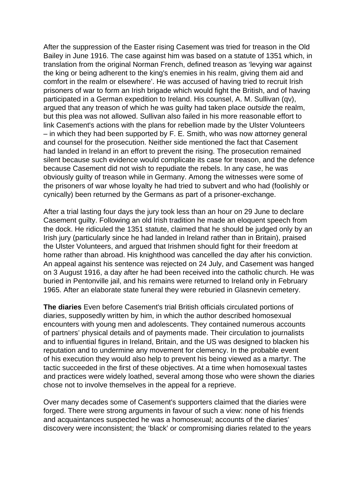After the suppression of the Easter rising Casement was tried for treason in the Old Bailey in June 1916. The case against him was based on a statute of 1351 which, in translation from the original Norman French, defined treason as 'levying war against the king or being adherent to the king's enemies in his realm, giving them aid and comfort in the realm or elsewhere'. He was accused of having tried to recruit Irish prisoners of war to form an Irish brigade which would fight the British, and of having participated in a German expedition to Ireland. His counsel, A. M. Sullivan (qv), argued that any treason of which he was guilty had taken place outside the realm, but this plea was not allowed. Sullivan also failed in his more reasonable effort to link Casement's actions with the plans for rebellion made by the Ulster Volunteers – in which they had been supported by F. E. Smith, who was now attorney general and counsel for the prosecution. Neither side mentioned the fact that Casement had landed in Ireland in an effort to prevent the rising. The prosecution remained silent because such evidence would complicate its case for treason, and the defence because Casement did not wish to repudiate the rebels. In any case, he was obviously guilty of treason while in Germany. Among the witnesses were some of the prisoners of war whose loyalty he had tried to subvert and who had (foolishly or cynically) been returned by the Germans as part of a prisoner-exchange.

After a trial lasting four days the jury took less than an hour on 29 June to declare Casement guilty. Following an old Irish tradition he made an eloquent speech from the dock. He ridiculed the 1351 statute, claimed that he should be judged only by an Irish jury (particularly since he had landed in Ireland rather than in Britain), praised the Ulster Volunteers, and argued that Irishmen should fight for their freedom at home rather than abroad. His knighthood was cancelled the day after his conviction. An appeal against his sentence was rejected on 24 July, and Casement was hanged on 3 August 1916, a day after he had been received into the catholic church. He was buried in Pentonville jail, and his remains were returned to Ireland only in February 1965. After an elaborate state funeral they were reburied in Glasnevin cemetery.

**The diaries** Even before Casement's trial British officials circulated portions of diaries, supposedly written by him, in which the author described homosexual encounters with young men and adolescents. They contained numerous accounts of partners' physical details and of payments made. Their circulation to journalists and to influential figures in Ireland, Britain, and the US was designed to blacken his reputation and to undermine any movement for clemency. In the probable event of his execution they would also help to prevent his being viewed as a martyr. The tactic succeeded in the first of these objectives. At a time when homosexual tastes and practices were widely loathed, several among those who were shown the diaries chose not to involve themselves in the appeal for a reprieve.

Over many decades some of Casement's supporters claimed that the diaries were forged. There were strong arguments in favour of such a view: none of his friends and acquaintances suspected he was a homosexual; accounts of the diaries' discovery were inconsistent; the 'black' or compromising diaries related to the years